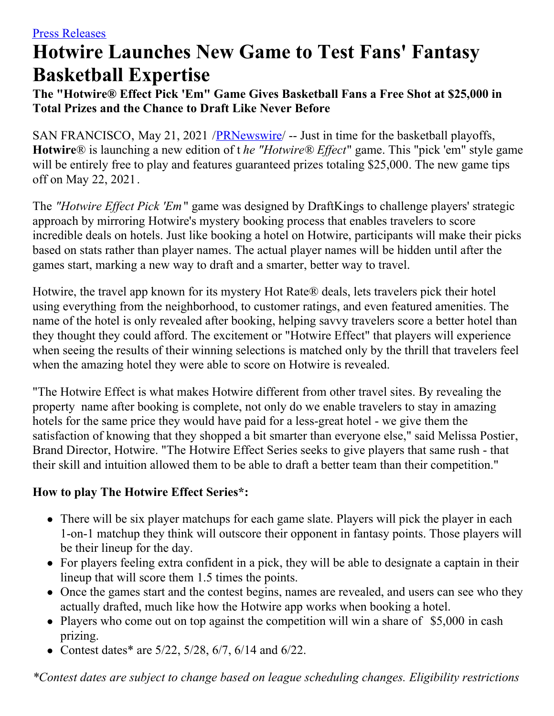# **Hotwire Launches New Game to Test Fans' Fantasy Basketball Expertise**

**The "Hotwire® Effect Pick 'Em" Game Gives Basketball Fans a Free Shot at \$25,000 in Total Prizes and the Chance to Draft Like Never Before**

SAN FRANCISCO, May 21, 2021 /*PRNewswire*/ -- Just in time for the basketball playoffs, **Hotwire**® is launching a new edition of t *he "Hotwire*® *Effect*" game. This "pick 'em" style game will be entirely free to play and features guaranteed prizes totaling \$25,000. The new game tips off on May 22, 2021.

The *"Hotwire Effect Pick 'Em*" game was designed by DraftKings to challenge players' strategic approach by mirroring Hotwire's mystery booking process that enables travelers to score incredible deals on hotels. Just like booking a hotel on Hotwire, participants will make their picks based on stats rather than player names. The actual player names will be hidden until after the games start, marking a new way to draft and a smarter, better way to travel.

Hotwire, the travel app known for its mystery Hot Rate® deals, lets travelers pick their hotel using everything from the neighborhood, to customer ratings, and even featured amenities. The name of the hotel is only revealed after booking, helping savvy travelers score a better hotel than they thought they could afford. The excitement or "Hotwire Effect" that players will experience when seeing the results of their winning selections is matched only by the thrill that travelers feel when the amazing hotel they were able to score on Hotwire is revealed.

"The Hotwire Effect is what makes Hotwire different from other travel sites. By revealing the property name after booking is complete, not only do we enable travelers to stay in amazing hotels for the same price they would have paid for a less-great hotel - we give them the satisfaction of knowing that they shopped a bit smarter than everyone else," said Melissa Postier, Brand Director, Hotwire. "The Hotwire Effect Series seeks to give players that same rush - that their skill and intuition allowed them to be able to draft a better team than their competition."

#### **How to play The Hotwire Effect Series\*:**

- There will be six player matchups for each game slate. Players will pick the player in each 1-on-1 matchup they think will outscore their opponent in fantasy points. Those players will be their lineup for the day.
- For players feeling extra confident in a pick, they will be able to designate a captain in their lineup that will score them 1.5 times the points.
- Once the games start and the contest begins, names are revealed, and users can see who they actually drafted, much like how the Hotwire app works when booking a hotel.
- Players who come out on top against the competition will win a share of \$5,000 in cash prizing.
- Contest dates\* are  $5/22$ ,  $5/28$ ,  $6/7$ ,  $6/14$  and  $6/22$ .

*\*Contest dates are subject to change based on league scheduling changes. Eligibility restrictions*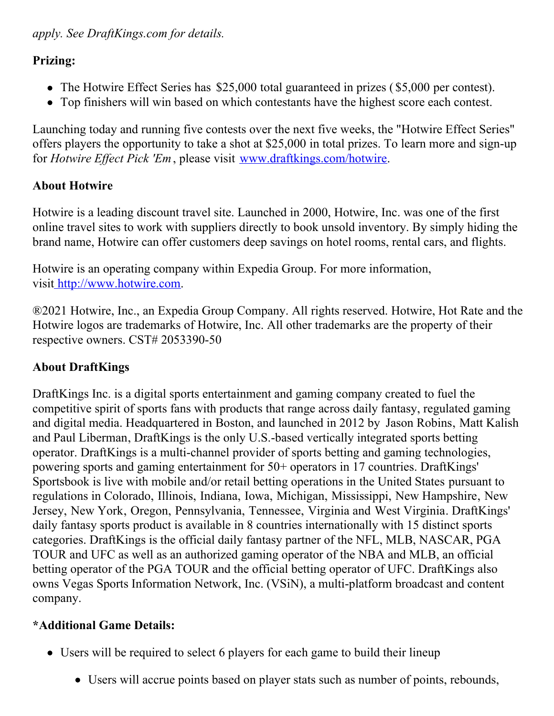#### **Prizing:**

- The Hotwire Effect Series has \$25,000 total guaranteed in prizes (\$5,000 per contest).
- Top finishers will win based on which contestants have the highest score each contest.

Launching today and running five contests over the next five weeks, the "Hotwire Effect Series" offers players the opportunity to take a shot at \$25,000 in total prizes. To learn more and sign-up for *Hotwire Effect Pick 'Em*, please visit [www.draftkings.com/hotwire](https://c212.net/c/link/?t=0&l=en&o=3171775-1&h=1175875125&u=http%3A%2F%2Fwww.draftkings.com%2Fhotwire&a=www.draftkings.com%2Fhotwire).

# **About Hotwire**

Hotwire is a leading discount travel site. Launched in 2000, Hotwire, Inc. was one of the first online travel sites to work with suppliers directly to book unsold inventory. By simply hiding the brand name, Hotwire can offer customers deep savings on hotel rooms, rental cars, and flights.

Hotwire is an operating company within Expedia Group. For more information, visi[t](https://c212.net/c/link/?t=0&l=en&o=3171775-1&h=386652811&u=http%3A%2F%2Fwww.hotewire.com%2F&a=%C2%A0) [http://www.hotwire.com](https://c212.net/c/link/?t=0&l=en&o=3171775-1&h=1768446959&u=http%3A%2F%2Fwww.hotewire.com%2F&a=http%3A%2F%2Fwww.hotwire.com).

®2021 Hotwire, Inc., an Expedia Group Company. All rights reserved. Hotwire, Hot Rate and the Hotwire logos are trademarks of Hotwire, Inc. All other trademarks are the property of their respective owners. CST# 2053390-50

## **About DraftKings**

DraftKings Inc. is a digital sports entertainment and gaming company created to fuel the competitive spirit of sports fans with products that range across daily fantasy, regulated gaming and digital media. Headquartered in Boston, and launched in 2012 by Jason Robins, Matt Kalish and Paul Liberman, DraftKings is the only U.S.-based vertically integrated sports betting operator. DraftKings is a multi-channel provider of sports betting and gaming technologies, powering sports and gaming entertainment for 50+ operators in 17 countries. DraftKings' Sportsbook is live with mobile and/or retail betting operations in the United States pursuant to regulations in Colorado, Illinois, Indiana, Iowa, Michigan, Mississippi, New Hampshire, New Jersey, New York, Oregon, Pennsylvania, Tennessee, Virginia and West Virginia. DraftKings' daily fantasy sports product is available in 8 countries internationally with 15 distinct sports categories. DraftKings is the official daily fantasy partner of the NFL, MLB, NASCAR, PGA TOUR and UFC as well as an authorized gaming operator of the NBA and MLB, an official betting operator of the PGA TOUR and the official betting operator of UFC. DraftKings also owns Vegas Sports Information Network, Inc. (VSiN), a multi-platform broadcast and content company.

## **\*Additional Game Details:**

- Users will be required to select 6 players for each game to build their lineup
	- Users will accrue points based on player stats such as number of points, rebounds,